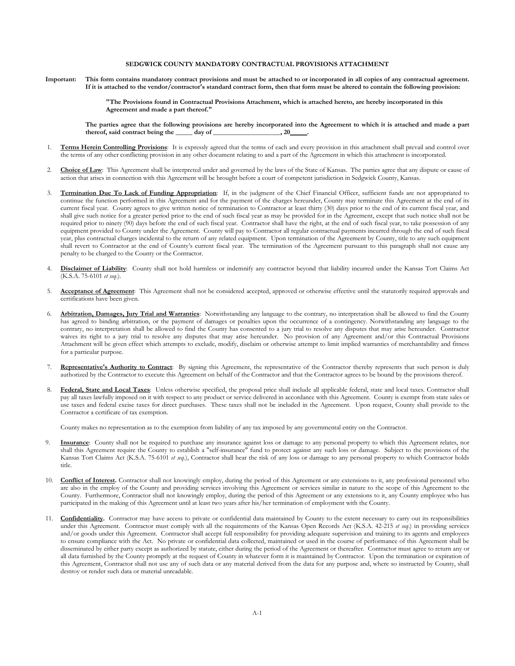## **SEDGWICK COUNTY MANDATORY CONTRACTUAL PROVISIONS ATTACHMENT**

**Important: This form contains mandatory contract provisions and must be attached to or incorporated in all copies of any contractual agreement. If it is attached to the vendor/contractor's standard contract form, then that form must be altered to contain the following provision:**

> **"The Provisions found in Contractual Provisions Attachment, which is attached hereto, are hereby incorporated in this Agreement and made a part thereof."**

The parties agree that the following provisions are hereby incorporated into the Agreement to which it is attached and made a part thereof, said contract being the <u>sum</u> day of <u>summers and  $20$ </u>. **thereof, said contract being the \_\_\_\_\_ day of \_\_\_\_\_\_\_\_\_\_\_\_\_\_\_\_\_\_\_\_, 20\_\_\_\_\_.**

- 1. Terms Herein Controlling Provisions: It is expressly agreed that the terms of each and every provision in this attachment shall prevail and control over the terms of any other conflicting provision in any other document relating to and a part of the Agreement in which this attachment is incorporated.
- 2. Choice of Law: This Agreement shall be interpreted under and governed by the laws of the State of Kansas. The parties agree that any dispute or cause of action that arises in connection with this Agreement will be brought before a court of competent jurisdiction in Sedgwick County, Kansas.
- 3. **Termination Due To Lack of Funding Appropriation**: If, in the judgment of the Chief Financial Officer, sufficient funds are not appropriated to continue the function performed in this Agreement and for the payment of the charges hereunder, County may terminate this Agreement at the end of its current fiscal year. County agrees to give written notice of termination to Contractor at least thirty (30) days prior to the end of its current fiscal year, and shall give such notice for a greater period prior to the end of such fiscal year as may be provided for in the Agreement, except that such notice shall not be required prior to ninety (90) days before the end of such fiscal year. Contractor shall have the right, at the end of such fiscal year, to take possession of any equipment provided to County under the Agreement. County will pay to Contractor all regular contractual payments incurred through the end of such fiscal year, plus contractual charges incidental to the return of any related equipment. Upon termination of the Agreement by County, title to any such equipment shall revert to Contractor at the end of County's current fiscal year. The termination of the Agreement pursuant to this paragraph shall not cause any penalty to be charged to the County or the Contractor.
- 4. Disclaimer of Liability: County shall not hold harmless or indemnify any contractor beyond that liability incurred under the Kansas Tort Claims Act (K.S.A. 75-6101 *et seq.*).
- 5. **Acceptance of Agreement**: This Agreement shall not be considered accepted, approved or otherwise effective until the statutorily required approvals and certifications have been given.
- 6. **Arbitration, Damages, Jury Trial and Warranties**: Notwithstanding any language to the contrary, no interpretation shall be allowed to find the County has agreed to binding arbitration, or the payment of damages or penalties upon the occurrence of a contingency. Notwithstanding any language to the contrary, no interpretation shall be allowed to find the County has consented to a jury trial to resolve any disputes that may arise hereunder. Contractor waives its right to a jury trial to resolve any disputes that may arise hereunder. No provision of any Agreement and/or this Contractual Provisions Attachment will be given effect which attempts to exclude, modify, disclaim or otherwise attempt to limit implied warranties of merchantability and fitness for a particular purpose.
- 7. **Representative's Authority to Contract**: By signing this Agreement, the representative of the Contractor thereby represents that such person is duly authorized by the Contractor to execute this Agreement on behalf of the Contractor and that the Contractor agrees to be bound by the provisions thereof.
- Federal, State and Local Taxes: Unless otherwise specified, the proposal price shall include all applicable federal, state and local taxes. Contractor shall pay all taxes lawfully imposed on it with respect to any product or service delivered in accordance with this Agreement. County is exempt from state sales or use taxes and federal excise taxes for direct purchases. These taxes shall not be included in the Agreement. Upon request, County shall provide to the Contractor a certificate of tax exemption.

County makes no representation as to the exemption from liability of any tax imposed by any governmental entity on the Contractor.

- 9. **Insurance**: County shall not be required to purchase any insurance against loss or damage to any personal property to which this Agreement relates, nor shall this Agreement require the County to establish a "self-insurance" fund to protect against any such loss or damage. Subject to the provisions of the Kansas Tort Claims Act (K.S.A. 75-6101 *et seq.*), Contractor shall bear the risk of any loss or damage to any personal property to which Contractor holds title.
- 10. **Conflict of Interest.** Contractor shall not knowingly employ, during the period of this Agreement or any extensions to it, any professional personnel who are also in the employ of the County and providing services involving this Agreement or services similar in nature to the scope of this Agreement to the County. Furthermore, Contractor shall not knowingly employ, during the period of this Agreement or any extensions to it, any County employee who has participated in the making of this Agreement until at least two years after his/her termination of employment with the County.
- 11. Confidentiality. Contractor may have access to private or confidential data maintained by County to the extent necessary to carry out its responsibilities under this Agreement. Contractor must comply with all the requirements of the Kansas Open Records Act (K.S.A. 42-215 *et seq*.) in providing services and/or goods under this Agreement. Contractor shall accept full responsibility for providing adequate supervision and training to its agents and employees to ensure compliance with the Act. No private or confidential data collected, maintained or used in the course of performance of this Agreement shall be disseminated by either party except as authorized by statute, either during the period of the Agreement or thereafter. Contractor must agree to return any or all data furnished by the County promptly at the request of County in whatever form it is maintained by Contractor. Upon the termination or expiration of this Agreement, Contractor shall not use any of such data or any material derived from the data for any purpose and, where so instructed by County, shall destroy or render such data or material unreadable.